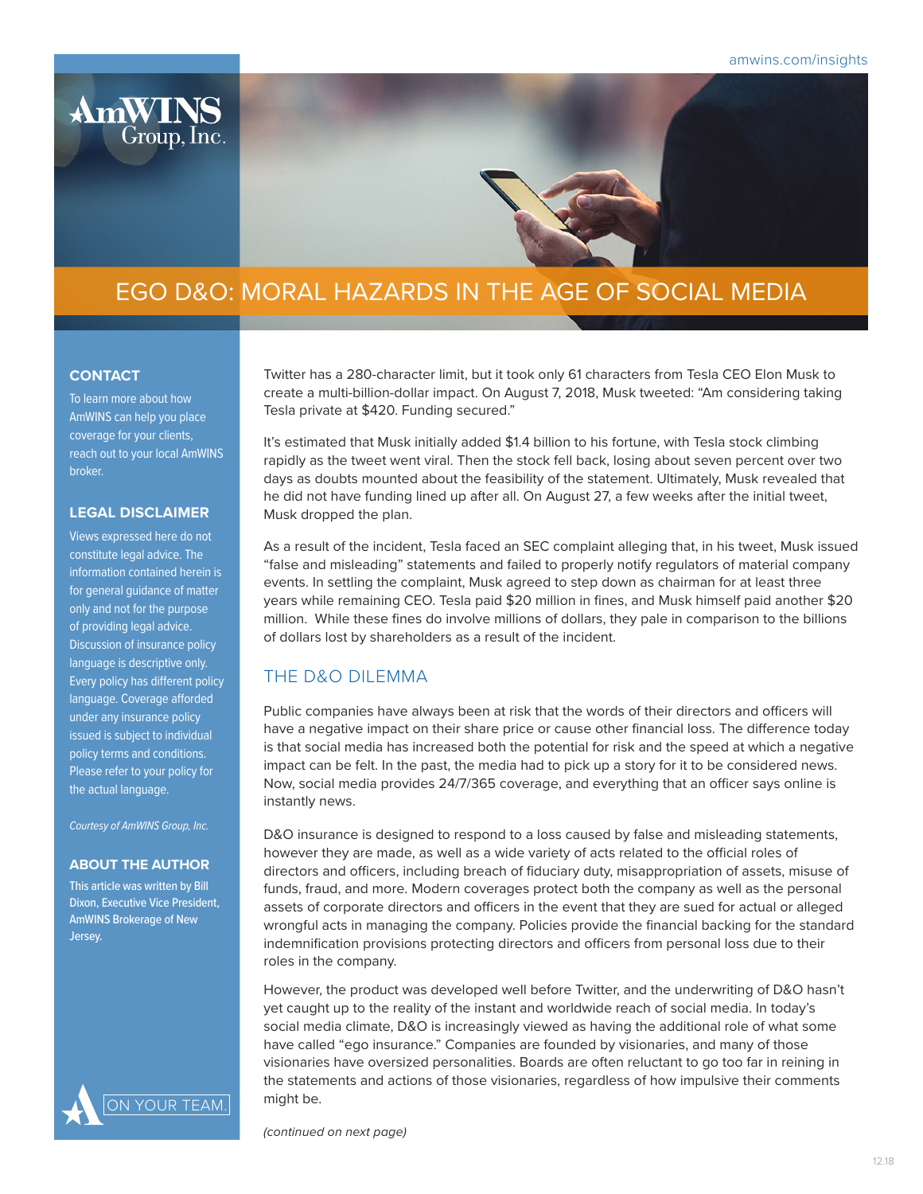

# EGO D&O: MORAL HAZARDS IN THE AGE OF SOCIAL MEDIA

### **CONTACT**

To learn more about how AmWINS can help you place coverage for your clients, reach out to your local AmWINS broker.

### **LEGAL DISCLAIMER**

Views expressed here do not constitute legal advice. The information contained herein is for general guidance of matter only and not for the purpose of providing legal advice. Discussion of insurance policy language is descriptive only. Every policy has different policy language. Coverage afforded under any insurance policy issued is subject to individual policy terms and conditions. Please refer to your policy for the actual language.

*Courtesy of AmWINS Group, Inc.*

#### **ABOUT THE AUTHOR**

This article was written by Bill Dixon, Executive Vice President, AmWINS Brokerage of New Jersey.



Twitter has a 280-character limit, but it took only 61 characters from Tesla CEO Elon Musk to create a multi-billion-dollar impact. On August 7, 2018, Musk tweeted: "Am considering taking Tesla private at \$420. Funding secured."

It's estimated that Musk initially added \$1.4 billion to his fortune, with Tesla stock climbing rapidly as the tweet went viral. Then the stock fell back, losing about seven percent over two days as doubts mounted about the feasibility of the statement. Ultimately, Musk revealed that he did not have funding lined up after all. On August 27, a few weeks after the initial tweet, Musk dropped the plan.

As a result of the incident, Tesla faced an SEC complaint alleging that, in his tweet, Musk issued "false and misleading" statements and failed to properly notify regulators of material company events. In settling the complaint, Musk agreed to step down as chairman for at least three years while remaining CEO. Tesla paid \$20 million in fines, and Musk himself paid another \$20 million. While these fines do involve millions of dollars, they pale in comparison to the billions of dollars lost by shareholders as a result of the incident.

## THE D&O DILEMMA

Public companies have always been at risk that the words of their directors and officers will have a negative impact on their share price or cause other financial loss. The difference today is that social media has increased both the potential for risk and the speed at which a negative impact can be felt. In the past, the media had to pick up a story for it to be considered news. Now, social media provides 24/7/365 coverage, and everything that an officer says online is instantly news.

D&O insurance is designed to respond to a loss caused by false and misleading statements, however they are made, as well as a wide variety of acts related to the official roles of directors and officers, including breach of fiduciary duty, misappropriation of assets, misuse of funds, fraud, and more. Modern coverages protect both the company as well as the personal assets of corporate directors and officers in the event that they are sued for actual or alleged wrongful acts in managing the company. Policies provide the financial backing for the standard indemnification provisions protecting directors and officers from personal loss due to their roles in the company.

However, the product was developed well before Twitter, and the underwriting of D&O hasn't yet caught up to the reality of the instant and worldwide reach of social media. In today's social media climate, D&O is increasingly viewed as having the additional role of what some have called "ego insurance." Companies are founded by visionaries, and many of those visionaries have oversized personalities. Boards are often reluctant to go too far in reining in the statements and actions of those visionaries, regardless of how impulsive their comments might be.

*(continued on next page)*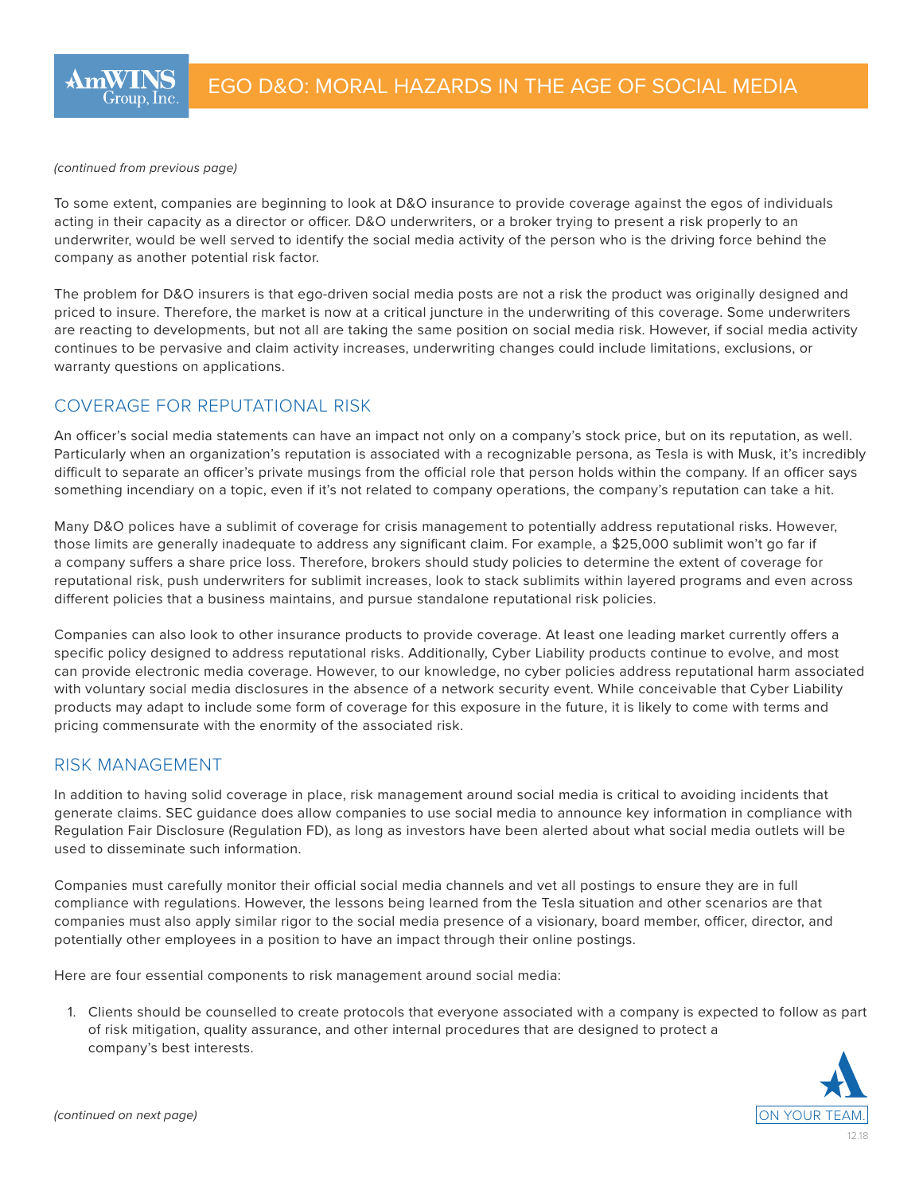*(continued from previous page)* 

To some extent, companies are beginning to look at D&O insurance to provide coverage against the egos of individuals acting in their capacity as a director or officer. D&O underwriters, or a broker trying to present a risk properly to an underwriter, would be well served to identify the social media activity of the person who is the driving force behind the company as another potential risk factor.

The problem for D&O insurers is that ego-driven social media posts are not a risk the product was originally designed and priced to insure. Therefore, the market is now at a critical juncture in the underwriting of this coverage. Some underwriters are reacting to developments, but not all are taking the same position on social media risk. However, if social media activity continues to be pervasive and claim activity increases, underwriting changes could include limitations, exclusions, or warranty questions on applications.

# COVERAGE FOR REPUTATIONAL RISK

An officer's social media statements can have an impact not only on a company's stock price, but on its reputation, as well. Particularly when an organization's reputation is associated with a recognizable persona, as Tesla is with Musk, it's incredibly difficult to separate an officer's private musings from the official role that person holds within the company. If an officer says something incendiary on a topic, even if it's not related to company operations, the company's reputation can take a hit.

Many D&O polices have a sublimit of coverage for crisis management to potentially address reputational risks. However, those limits are generally inadequate to address any significant claim. For example, a \$25,000 sublimit won't go far if a company suffers a share price loss. Therefore, brokers should study policies to determine the extent of coverage for reputational risk, push underwriters for sublimit increases, look to stack sublimits within layered programs and even across different policies that a business maintains, and pursue standalone reputational risk policies.

Companies can also look to other insurance products to provide coverage. At least one leading market currently offers a specific policy designed to address reputational risks. Additionally, Cyber Liability products continue to evolve, and most can provide electronic media coverage. However, to our knowledge, no cyber policies address reputational harm associated with voluntary social media disclosures in the absence of a network security event. While conceivable that Cyber Liability products may adapt to include some form of coverage for this exposure in the future, it is likely to come with terms and pricing commensurate with the enormity of the associated risk.

## RISK MANAGEMENT

In addition to having solid coverage in place, risk management around social media is critical to avoiding incidents that generate claims. SEC guidance does allow companies to use social media to announce key information in compliance with Regulation Fair Disclosure (Regulation FD), as long as investors have been alerted about what social media outlets will be used to disseminate such information.

Companies must carefully monitor their official social media channels and vet all postings to ensure they are in full compliance with regulations. However, the lessons being learned from the Tesla situation and other scenarios are that companies must also apply similar rigor to the social media presence of a visionary, board member, officer, director, and potentially other employees in a position to have an impact through their online postings.

Here are four essential components to risk management around social media:

1. Clients should be counselled to create protocols that everyone associated with a company is expected to follow as part of risk mitigation, quality assurance, and other internal procedures that are designed to protect a company's best interests.